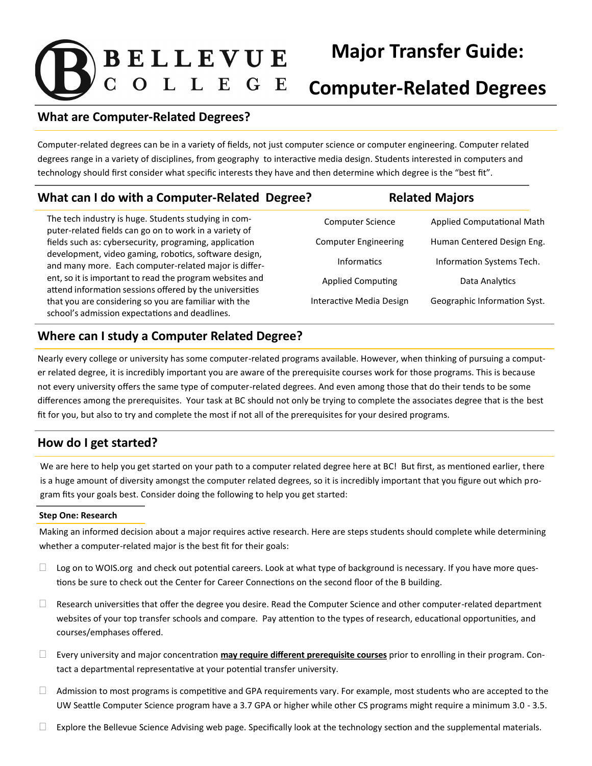# **BELLEVUE**

# **Major Transfer Guide:**

## **Computer-Related Degrees**

#### **What are Computer-Related Degrees?**

Computer-related degrees can be in a variety of fields, not just computer science or computer engineering. Computer related degrees range in a variety of disciplines, from geography to interactive media design. Students interested in computers and technology should first consider what specific interests they have and then determine which degree is the "best fit".

### **What can I do with a Computer-Related Degree? Related Majors**

The tech industry is huge. Students studying in computer-related fields can go on to work in a variety of fields such as: cybersecurity, programing, application development, video gaming, robotics, software design, and many more. Each computer-related major is different, so it is important to read the program websites and attend information sessions offered by the universities that you are considering so you are familiar with the school's admission expectations and deadlines.

| <b>Computer Science</b>     |
|-----------------------------|
| <b>Computer Engineering</b> |
| Informatics                 |
| <b>Applied Computing</b>    |
| Interactive Media Design    |

Applied Computational Math Human Centered Design Eng. Information Systems Tech. Data Analytics Geographic Information Syst.

#### **Where can I study a Computer Related Degree?**

Nearly every college or university has some computer-related programs available. However, when thinking of pursuing a computer related degree, it is incredibly important you are aware of the prerequisite courses work for those programs. This is because not every university offers the same type of computer-related degrees. And even among those that do their tends to be some differences among the prerequisites. Your task at BC should not only be trying to complete the associates degree that is the best fit for you, but also to try and complete the most if not all of the prerequisites for your desired programs.

#### **How do I get started?**

We are here to help you get started on your path to a computer related degree here at BC! But first, as mentioned earlier, there is a huge amount of diversity amongst the computer related degrees, so it is incredibly important that you figure out which program fits your goals best. Consider doing the following to help you get started:

#### **Step One: Research**

Making an informed decision about a major requires active research. Here are steps students should complete while determining whether a computer-related major is the best fit for their goals:

- $\Box$  Log on to WOIS.org and check out potential careers. Look at what type of background is necessary. If you have more questions be sure to check out the Center for Career Connections on the second floor of the B building.
- $\Box$  Research universities that offer the degree you desire. Read the Computer Science and other computer-related department websites of your top transfer schools and compare. Pay attention to the types of research, educational opportunities, and courses/emphases offered.
- Every university and major concentration **may require different prerequisite courses** prior to enrolling in their program. Contact a departmental representative at your potential transfer university.
- $\Box$  Admission to most programs is competitive and GPA requirements vary. For example, most students who are accepted to the UW Seattle Computer Science program have a 3.7 GPA or higher while other CS programs might require a minimum 3.0 - 3.5.
- $\Box$  Explore the Bellevue Science Advising web page. Specifically look at the technology section and the supplemental materials.